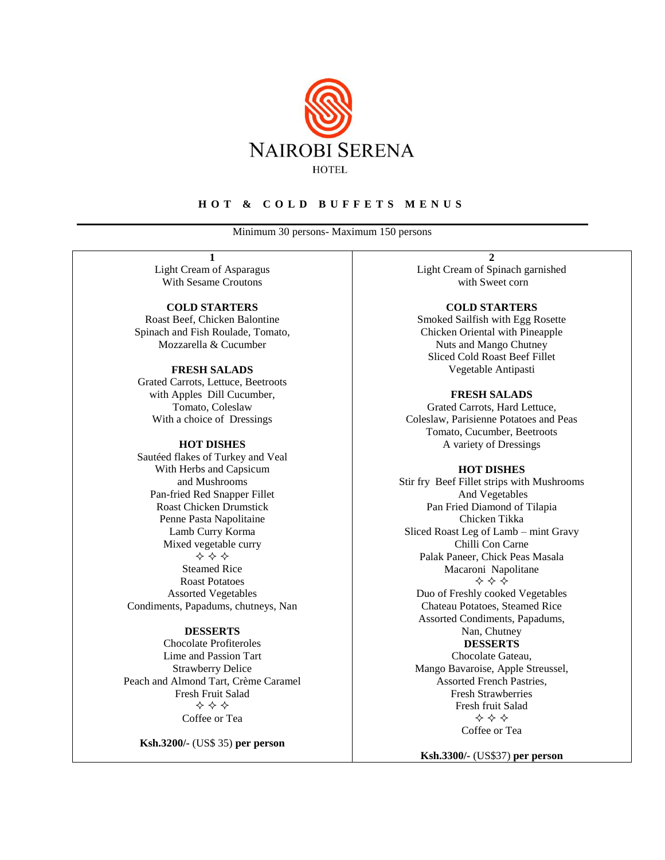

### **H O T & C O L D B U F F E T S M E N U S**

Minimum 30 persons- Maximum 150 persons

**1**

Light Cream of Asparagus With Sesame Croutons

**COLD STARTERS** Roast Beef, Chicken Balontine Spinach and Fish Roulade, Tomato, Mozzarella & Cucumber

#### **FRESH SALADS**

Grated Carrots, Lettuce, Beetroots with Apples Dill Cucumber, Tomato, Coleslaw With a choice of Dressings

#### **HOT DISHES**

Sautéed flakes of Turkey and Veal With Herbs and Capsicum and Mushrooms Pan-fried Red Snapper Fillet Roast Chicken Drumstick Penne Pasta Napolitaine Lamb Curry Korma Mixed vegetable curry  $\Leftrightarrow$   $\Leftrightarrow$   $\Leftrightarrow$ Steamed Rice Roast Potatoes Assorted Vegetables Condiments, Papadums, chutneys, Nan

#### **DESSERTS**

Chocolate Profiteroles Lime and Passion Tart Strawberry Delice Peach and Almond Tart, Crème Caramel Fresh Fruit Salad  $\Leftrightarrow$   $\Leftrightarrow$   $\Leftrightarrow$ Coffee or Tea

**Ksh.3200/-** (US\$ 35) **per person**

**2** Light Cream of Spinach garnished with Sweet corn

#### **COLD STARTERS**

Smoked Sailfish with Egg Rosette Chicken Oriental with Pineapple Nuts and Mango Chutney Sliced Cold Roast Beef Fillet Vegetable Antipasti

# **FRESH SALADS**

Grated Carrots, Hard Lettuce, Coleslaw, Parisienne Potatoes and Peas Tomato, Cucumber, Beetroots A variety of Dressings

#### **HOT DISHES**

Stir fry Beef Fillet strips with Mushrooms And Vegetables Pan Fried Diamond of Tilapia Chicken Tikka Sliced Roast Leg of Lamb – mint Gravy Chilli Con Carne Palak Paneer, Chick Peas Masala Macaroni Napolitane ⊹∻⊹

Duo of Freshly cooked Vegetables Chateau Potatoes, Steamed Rice Assorted Condiments, Papadums, Nan, Chutney

# **DESSERTS** Chocolate Gateau,

Mango Bavaroise, Apple Streussel, Assorted French Pastries, Fresh Strawberries Fresh fruit Salad  $\diamond \diamond \diamond$ Coffee or Tea

**Ksh.3300/-** (US\$37) **per person**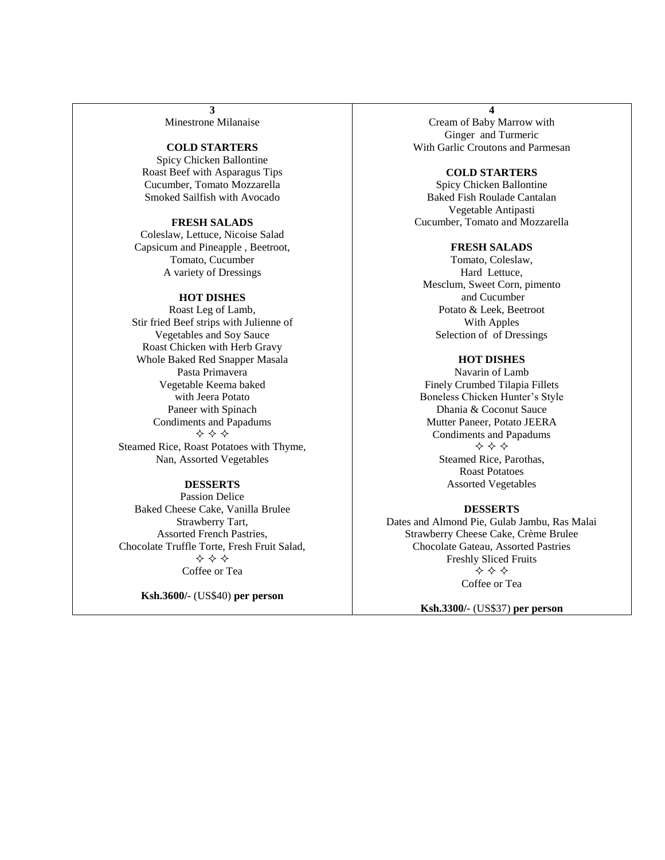**3** Minestrone Milanaise

#### **COLD STARTERS**

Spicy Chicken Ballontine Roast Beef with Asparagus Tips Cucumber, Tomato Mozzarella Smoked Sailfish with Avocado

### **FRESH SALADS**

Coleslaw, Lettuce, Nicoise Salad Capsicum and Pineapple , Beetroot, Tomato, Cucumber A variety of Dressings

#### **HOT DISHES**

Roast Leg of Lamb, Stir fried Beef strips with Julienne of Vegetables and Soy Sauce Roast Chicken with Herb Gravy Whole Baked Red Snapper Masala Pasta Primavera Vegetable Keema baked with Jeera Potato Paneer with Spinach Condiments and Papadums  $\Leftrightarrow$   $\Leftrightarrow$   $\Leftrightarrow$ Steamed Rice, Roast Potatoes with Thyme, Nan, Assorted Vegetables

# **DESSERTS**

Passion Delice Baked Cheese Cake, Vanilla Brulee Strawberry Tart, Assorted French Pastries, Chocolate Truffle Torte, Fresh Fruit Salad,  $\Leftrightarrow$   $\Leftrightarrow$   $\Leftrightarrow$ Coffee or Tea

**Ksh.3600/-** (US\$40) **per person**

**4**

Cream of Baby Marrow with Ginger and Turmeric With Garlic Croutons and Parmesan

#### **COLD STARTERS**

Spicy Chicken Ballontine Baked Fish Roulade Cantalan Vegetable Antipasti Cucumber, Tomato and Mozzarella

#### **FRESH SALADS**

Tomato, Coleslaw, Hard Lettuce, Mesclum, Sweet Corn, pimento and Cucumber Potato & Leek, Beetroot With Apples Selection of of Dressings

# **HOT DISHES**

Navarin of Lamb Finely Crumbed Tilapia Fillets Boneless Chicken Hunter's Style Dhania & Coconut Sauce Mutter Paneer, Potato JEERA Condiments and Papadums  $\Leftrightarrow$   $\Leftrightarrow$   $\Leftrightarrow$ Steamed Rice, Parothas, Roast Potatoes Assorted Vegetables

### **DESSERTS**

Dates and Almond Pie, Gulab Jambu, Ras Malai Strawberry Cheese Cake, Crème Brulee Chocolate Gateau, Assorted Pastries Freshly Sliced Fruits  $\Leftrightarrow$   $\Leftrightarrow$   $\Leftrightarrow$ Coffee or Tea

**Ksh.3300/-** (US\$37) **per person**